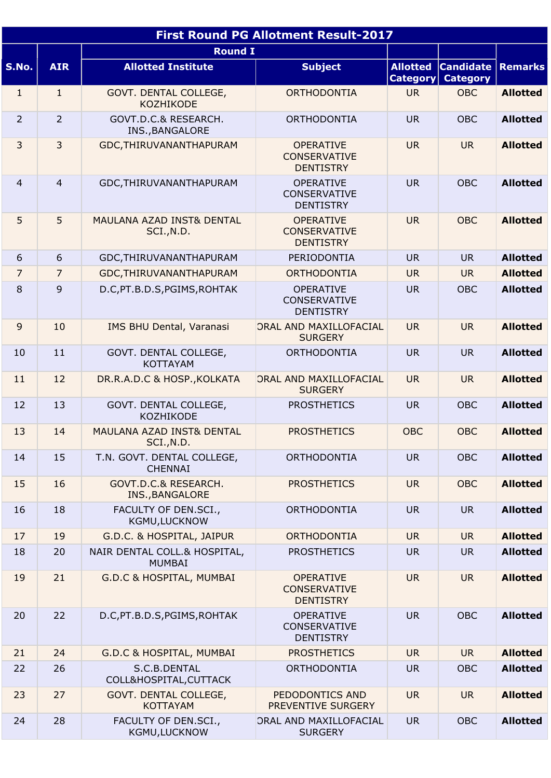|                | <b>First Round PG Allotment Result-2017</b> |                                               |                                                             |                                    |                                               |                 |  |  |  |
|----------------|---------------------------------------------|-----------------------------------------------|-------------------------------------------------------------|------------------------------------|-----------------------------------------------|-----------------|--|--|--|
|                |                                             | <b>Round I</b>                                |                                                             |                                    |                                               |                 |  |  |  |
| S.No.          | <b>AIR</b>                                  | <b>Allotted Institute</b>                     | <b>Subject</b>                                              | <b>Allotted</b><br><b>Category</b> | <b>Candidate   Remarks</b><br><b>Category</b> |                 |  |  |  |
| $\mathbf{1}$   | $\mathbf{1}$                                | GOVT. DENTAL COLLEGE,<br><b>KOZHIKODE</b>     | <b>ORTHODONTIA</b>                                          | <b>UR</b>                          | <b>OBC</b>                                    | <b>Allotted</b> |  |  |  |
| $\overline{2}$ | $\overline{2}$                              | GOVT.D.C.& RESEARCH.<br>INS., BANGALORE       | <b>ORTHODONTIA</b>                                          | <b>UR</b>                          | <b>OBC</b>                                    | <b>Allotted</b> |  |  |  |
| 3              | $\overline{3}$                              | GDC, THIRUVANANTHAPURAM                       | <b>OPERATIVE</b><br><b>CONSERVATIVE</b><br><b>DENTISTRY</b> | <b>UR</b>                          | <b>UR</b>                                     | <b>Allotted</b> |  |  |  |
| $\overline{4}$ | $\overline{4}$                              | GDC, THIRUVANANTHAPURAM                       | <b>OPERATIVE</b><br>CONSERVATIVE<br><b>DENTISTRY</b>        | <b>UR</b>                          | <b>OBC</b>                                    | <b>Allotted</b> |  |  |  |
| 5              | 5                                           | MAULANA AZAD INST& DENTAL<br>SCI., N.D.       | <b>OPERATIVE</b><br><b>CONSERVATIVE</b><br><b>DENTISTRY</b> | <b>UR</b>                          | <b>OBC</b>                                    | <b>Allotted</b> |  |  |  |
| 6              | 6                                           | GDC, THIRUVANANTHAPURAM                       | PERIODONTIA                                                 | <b>UR</b>                          | <b>UR</b>                                     | <b>Allotted</b> |  |  |  |
| $\overline{7}$ | $\overline{7}$                              | GDC, THIRUVANANTHAPURAM                       | ORTHODONTIA                                                 | <b>UR</b>                          | <b>UR</b>                                     | <b>Allotted</b> |  |  |  |
| 8              | 9                                           | D.C, PT.B.D.S, PGIMS, ROHTAK                  | <b>OPERATIVE</b><br>CONSERVATIVE<br><b>DENTISTRY</b>        | <b>UR</b>                          | <b>OBC</b>                                    | <b>Allotted</b> |  |  |  |
| 9              | 10                                          | IMS BHU Dental, Varanasi                      | <b>ORAL AND MAXILLOFACIAL</b><br><b>SURGERY</b>             | <b>UR</b>                          | <b>UR</b>                                     | <b>Allotted</b> |  |  |  |
| 10             | 11                                          | GOVT. DENTAL COLLEGE,<br><b>KOTTAYAM</b>      | <b>ORTHODONTIA</b>                                          | <b>UR</b>                          | <b>UR</b>                                     | <b>Allotted</b> |  |  |  |
| 11             | 12                                          | DR.R.A.D.C & HOSP., KOLKATA                   | <b>ORAL AND MAXILLOFACIAL</b><br><b>SURGERY</b>             | <b>UR</b>                          | <b>UR</b>                                     | <b>Allotted</b> |  |  |  |
| 12             | 13                                          | GOVT. DENTAL COLLEGE,<br><b>KOZHIKODE</b>     | <b>PROSTHETICS</b>                                          | <b>UR</b>                          | <b>OBC</b>                                    | <b>Allotted</b> |  |  |  |
| 13             | 14                                          | MAULANA AZAD INST& DENTAL<br>SCI.,N.D.        | <b>PROSTHETICS</b>                                          | <b>OBC</b>                         | <b>OBC</b>                                    | <b>Allotted</b> |  |  |  |
| 14             | 15                                          | T.N. GOVT. DENTAL COLLEGE,<br><b>CHENNAI</b>  | ORTHODONTIA                                                 | <b>UR</b>                          | OBC                                           | <b>Allotted</b> |  |  |  |
| 15             | 16                                          | GOVT.D.C.& RESEARCH.<br>INS., BANGALORE       | <b>PROSTHETICS</b>                                          | <b>UR</b>                          | <b>OBC</b>                                    | <b>Allotted</b> |  |  |  |
| 16             | 18                                          | FACULTY OF DEN.SCI.,<br>KGMU, LUCKNOW         | <b>ORTHODONTIA</b>                                          | <b>UR</b>                          | <b>UR</b>                                     | <b>Allotted</b> |  |  |  |
| 17             | 19                                          | G.D.C. & HOSPITAL, JAIPUR                     | <b>ORTHODONTIA</b>                                          | <b>UR</b>                          | <b>UR</b>                                     | <b>Allotted</b> |  |  |  |
| 18             | 20                                          | NAIR DENTAL COLL.& HOSPITAL,<br><b>MUMBAI</b> | <b>PROSTHETICS</b>                                          | <b>UR</b>                          | <b>UR</b>                                     | <b>Allotted</b> |  |  |  |
| 19             | 21                                          | G.D.C & HOSPITAL, MUMBAI                      | <b>OPERATIVE</b><br><b>CONSERVATIVE</b><br><b>DENTISTRY</b> | <b>UR</b>                          | <b>UR</b>                                     | <b>Allotted</b> |  |  |  |
| 20             | 22                                          | D.C, PT.B.D.S, PGIMS, ROHTAK                  | <b>OPERATIVE</b><br>CONSERVATIVE<br><b>DENTISTRY</b>        | <b>UR</b>                          | <b>OBC</b>                                    | <b>Allotted</b> |  |  |  |
| 21             | 24                                          | G.D.C & HOSPITAL, MUMBAI                      | <b>PROSTHETICS</b>                                          | <b>UR</b>                          | <b>UR</b>                                     | <b>Allotted</b> |  |  |  |
| 22             | 26                                          | S.C.B.DENTAL<br>COLL&HOSPITAL, CUTTACK        | <b>ORTHODONTIA</b>                                          | <b>UR</b>                          | <b>OBC</b>                                    | <b>Allotted</b> |  |  |  |
| 23             | 27                                          | GOVT. DENTAL COLLEGE,<br><b>KOTTAYAM</b>      | PEDODONTICS AND<br>PREVENTIVE SURGERY                       | <b>UR</b>                          | <b>UR</b>                                     | <b>Allotted</b> |  |  |  |
| 24             | 28                                          | FACULTY OF DEN.SCI.,<br>KGMU, LUCKNOW         | ORAL AND MAXILLOFACIAL<br><b>SURGERY</b>                    | <b>UR</b>                          | <b>OBC</b>                                    | <b>Allotted</b> |  |  |  |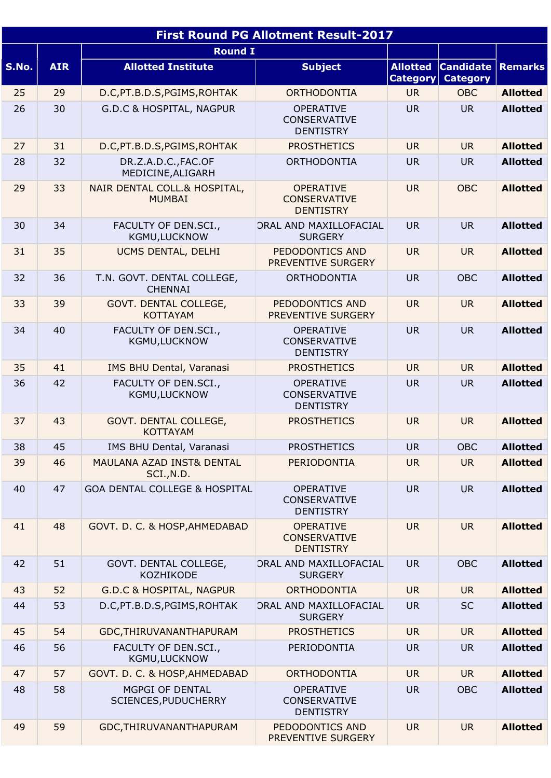| <b>First Round PG Allotment Result-2017</b> |            |                                               |                                                             |                             |                                               |                 |  |  |
|---------------------------------------------|------------|-----------------------------------------------|-------------------------------------------------------------|-----------------------------|-----------------------------------------------|-----------------|--|--|
|                                             |            | <b>Round I</b>                                |                                                             |                             |                                               |                 |  |  |
| S.No.                                       | <b>AIR</b> | <b>Allotted Institute</b>                     | <b>Subject</b>                                              | <b>Allotted</b><br>Category | <b>Candidate   Remarks</b><br><b>Category</b> |                 |  |  |
| 25                                          | 29         | D.C, PT.B.D.S, PGIMS, ROHTAK                  | <b>ORTHODONTIA</b>                                          | <b>UR</b>                   | <b>OBC</b>                                    | <b>Allotted</b> |  |  |
| 26                                          | 30         | <b>G.D.C &amp; HOSPITAL, NAGPUR</b>           | <b>OPERATIVE</b><br>CONSERVATIVE<br><b>DENTISTRY</b>        | <b>UR</b>                   | <b>UR</b>                                     | <b>Allotted</b> |  |  |
| 27                                          | 31         | D.C, PT.B.D.S, PGIMS, ROHTAK                  | <b>PROSTHETICS</b>                                          | <b>UR</b>                   | <b>UR</b>                                     | <b>Allotted</b> |  |  |
| 28                                          | 32         | DR.Z.A.D.C., FAC.OF<br>MEDICINE, ALIGARH      | <b>ORTHODONTIA</b>                                          | <b>UR</b>                   | <b>UR</b>                                     | <b>Allotted</b> |  |  |
| 29                                          | 33         | NAIR DENTAL COLL.& HOSPITAL,<br><b>MUMBAI</b> | <b>OPERATIVE</b><br><b>CONSERVATIVE</b><br><b>DENTISTRY</b> | <b>UR</b>                   | <b>OBC</b>                                    | <b>Allotted</b> |  |  |
| 30                                          | 34         | FACULTY OF DEN.SCI.,<br>KGMU,LUCKNOW          | ORAL AND MAXILLOFACIAL<br><b>SURGERY</b>                    | <b>UR</b>                   | <b>UR</b>                                     | <b>Allotted</b> |  |  |
| 31                                          | 35         | UCMS DENTAL, DELHI                            | PEDODONTICS AND<br>PREVENTIVE SURGERY                       | <b>UR</b>                   | <b>UR</b>                                     | <b>Allotted</b> |  |  |
| 32                                          | 36         | T.N. GOVT. DENTAL COLLEGE,<br><b>CHENNAI</b>  | <b>ORTHODONTIA</b>                                          | <b>UR</b>                   | <b>OBC</b>                                    | <b>Allotted</b> |  |  |
| 33                                          | 39         | GOVT. DENTAL COLLEGE,<br><b>KOTTAYAM</b>      | PEDODONTICS AND<br>PREVENTIVE SURGERY                       | <b>UR</b>                   | <b>UR</b>                                     | <b>Allotted</b> |  |  |
| 34                                          | 40         | FACULTY OF DEN.SCI.,<br>KGMU, LUCKNOW         | <b>OPERATIVE</b><br>CONSERVATIVE<br><b>DENTISTRY</b>        | <b>UR</b>                   | <b>UR</b>                                     | <b>Allotted</b> |  |  |
| 35                                          | 41         | IMS BHU Dental, Varanasi                      | <b>PROSTHETICS</b>                                          | <b>UR</b>                   | <b>UR</b>                                     | <b>Allotted</b> |  |  |
| 36                                          | 42         | FACULTY OF DEN.SCI.,<br>KGMU, LUCKNOW         | <b>OPERATIVE</b><br>CONSERVATIVE<br><b>DENTISTRY</b>        | <b>UR</b>                   | <b>UR</b>                                     | <b>Allotted</b> |  |  |
| 37                                          | 43         | GOVT. DENTAL COLLEGE,<br><b>KOTTAYAM</b>      | <b>PROSTHETICS</b>                                          | <b>UR</b>                   | <b>UR</b>                                     | <b>Allotted</b> |  |  |
| 38                                          | 45         | IMS BHU Dental, Varanasi                      | <b>PROSTHETICS</b>                                          | <b>UR</b>                   | <b>OBC</b>                                    | <b>Allotted</b> |  |  |
| 39                                          | 46         | MAULANA AZAD INST& DENTAL<br>SCI., N.D.       | PERIODONTIA                                                 | <b>UR</b>                   | <b>UR</b>                                     | <b>Allotted</b> |  |  |
| 40                                          | 47         | <b>GOA DENTAL COLLEGE &amp; HOSPITAL</b>      | <b>OPERATIVE</b><br>CONSERVATIVE<br><b>DENTISTRY</b>        | <b>UR</b>                   | <b>UR</b>                                     | <b>Allotted</b> |  |  |
| 41                                          | 48         | GOVT. D. C. & HOSP, AHMEDABAD                 | <b>OPERATIVE</b><br><b>CONSERVATIVE</b><br><b>DENTISTRY</b> | <b>UR</b>                   | <b>UR</b>                                     | <b>Allotted</b> |  |  |
| 42                                          | 51         | GOVT. DENTAL COLLEGE,<br>KOZHIKODE            | ORAL AND MAXILLOFACIAL<br><b>SURGERY</b>                    | <b>UR</b>                   | <b>OBC</b>                                    | <b>Allotted</b> |  |  |
| 43                                          | 52         | G.D.C & HOSPITAL, NAGPUR                      | <b>ORTHODONTIA</b>                                          | <b>UR</b>                   | <b>UR</b>                                     | <b>Allotted</b> |  |  |
| 44                                          | 53         | D.C, PT.B.D.S, PGIMS, ROHTAK                  | ORAL AND MAXILLOFACIAL<br><b>SURGERY</b>                    | <b>UR</b>                   | <b>SC</b>                                     | <b>Allotted</b> |  |  |
| 45                                          | 54         | GDC, THIRUVANANTHAPURAM                       | <b>PROSTHETICS</b>                                          | <b>UR</b>                   | <b>UR</b>                                     | <b>Allotted</b> |  |  |
| 46                                          | 56         | FACULTY OF DEN.SCI.,<br>KGMU, LUCKNOW         | PERIODONTIA                                                 | <b>UR</b>                   | <b>UR</b>                                     | <b>Allotted</b> |  |  |
| 47                                          | 57         | GOVT. D. C. & HOSP, AHMEDABAD                 | <b>ORTHODONTIA</b>                                          | <b>UR</b>                   | <b>UR</b>                                     | <b>Allotted</b> |  |  |
| 48                                          | 58         | MGPGI OF DENTAL<br>SCIENCES, PUDUCHERRY       | <b>OPERATIVE</b><br>CONSERVATIVE<br><b>DENTISTRY</b>        | <b>UR</b>                   | <b>OBC</b>                                    | <b>Allotted</b> |  |  |
| 49                                          | 59         | GDC, THIRUVANANTHAPURAM                       | PEDODONTICS AND<br>PREVENTIVE SURGERY                       | <b>UR</b>                   | <b>UR</b>                                     | <b>Allotted</b> |  |  |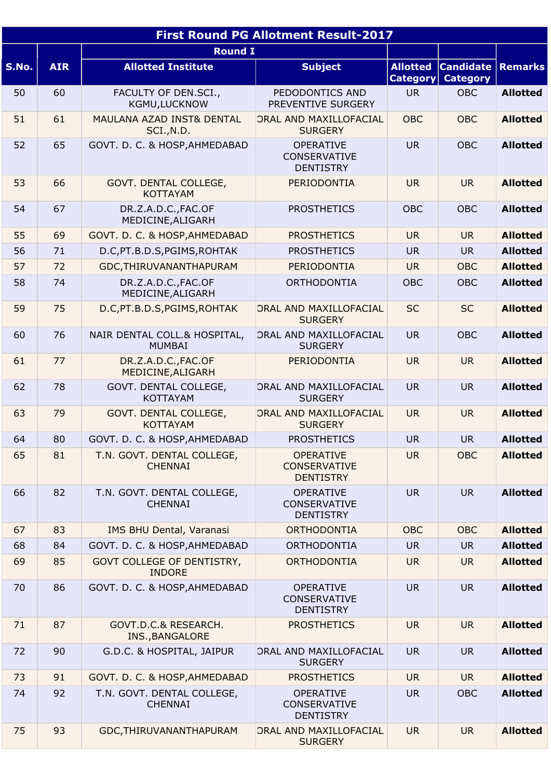| <b>First Round PG Allotment Result-2017</b> |            |                                               |                                                             |                             |                                               |                 |  |
|---------------------------------------------|------------|-----------------------------------------------|-------------------------------------------------------------|-----------------------------|-----------------------------------------------|-----------------|--|
|                                             |            | <b>Round I</b>                                |                                                             |                             |                                               |                 |  |
| S.No.                                       | <b>AIR</b> | <b>Allotted Institute</b>                     | <b>Subject</b>                                              | <b>Allotted</b><br>Category | <b>Candidate   Remarks</b><br><b>Category</b> |                 |  |
| 50                                          | 60         | FACULTY OF DEN.SCI.,<br>KGMU,LUCKNOW          | PEDODONTICS AND<br>PREVENTIVE SURGERY                       | <b>UR</b>                   | <b>OBC</b>                                    | <b>Allotted</b> |  |
| 51                                          | 61         | MAULANA AZAD INST& DENTAL<br>SCI., N.D.       | ORAL AND MAXILLOFACIAL<br><b>SURGERY</b>                    | <b>OBC</b>                  | <b>OBC</b>                                    | <b>Allotted</b> |  |
| 52                                          | 65         | GOVT. D. C. & HOSP, AHMEDABAD                 | <b>OPERATIVE</b><br>CONSERVATIVE<br><b>DENTISTRY</b>        | <b>UR</b>                   | <b>OBC</b>                                    | <b>Allotted</b> |  |
| 53                                          | 66         | GOVT. DENTAL COLLEGE,<br><b>KOTTAYAM</b>      | PERIODONTIA                                                 | <b>UR</b>                   | <b>UR</b>                                     | <b>Allotted</b> |  |
| 54                                          | 67         | DR.Z.A.D.C., FAC.OF<br>MEDICINE, ALIGARH      | <b>PROSTHETICS</b>                                          | <b>OBC</b>                  | <b>OBC</b>                                    | <b>Allotted</b> |  |
| 55                                          | 69         | GOVT. D. C. & HOSP, AHMEDABAD                 | <b>PROSTHETICS</b>                                          | <b>UR</b>                   | <b>UR</b>                                     | <b>Allotted</b> |  |
| 56                                          | 71         | D.C, PT.B.D.S, PGIMS, ROHTAK                  | <b>PROSTHETICS</b>                                          | <b>UR</b>                   | <b>UR</b>                                     | <b>Allotted</b> |  |
| 57                                          | 72         | GDC, THIRUVANANTHAPURAM                       | PERIODONTIA                                                 | <b>UR</b>                   | <b>OBC</b>                                    | <b>Allotted</b> |  |
| 58                                          | 74         | DR.Z.A.D.C., FAC.OF<br>MEDICINE, ALIGARH      | <b>ORTHODONTIA</b>                                          | <b>OBC</b>                  | <b>OBC</b>                                    | <b>Allotted</b> |  |
| 59                                          | 75         | D.C, PT.B.D.S, PGIMS, ROHTAK                  | ORAL AND MAXILLOFACIAL<br><b>SURGERY</b>                    | <b>SC</b>                   | <b>SC</b>                                     | <b>Allotted</b> |  |
| 60                                          | 76         | NAIR DENTAL COLL.& HOSPITAL,<br><b>MUMBAI</b> | ORAL AND MAXILLOFACIAL<br><b>SURGERY</b>                    | <b>UR</b>                   | <b>OBC</b>                                    | <b>Allotted</b> |  |
| 61                                          | 77         | DR.Z.A.D.C., FAC.OF<br>MEDICINE, ALIGARH      | PERIODONTIA                                                 | <b>UR</b>                   | <b>UR</b>                                     | <b>Allotted</b> |  |
| 62                                          | 78         | GOVT. DENTAL COLLEGE,<br><b>KOTTAYAM</b>      | ORAL AND MAXILLOFACIAL<br><b>SURGERY</b>                    | <b>UR</b>                   | <b>UR</b>                                     | <b>Allotted</b> |  |
| 63                                          | 79         | GOVT. DENTAL COLLEGE,<br><b>KOTTAYAM</b>      | ORAL AND MAXILLOFACIAL<br><b>SURGERY</b>                    | <b>UR</b>                   | <b>UR</b>                                     | <b>Allotted</b> |  |
| 64                                          | 80         | GOVT. D. C. & HOSP, AHMEDABAD                 | <b>PROSTHETICS</b>                                          | <b>UR</b>                   | <b>UR</b>                                     | <b>Allotted</b> |  |
| 65                                          | 81         | T.N. GOVT. DENTAL COLLEGE,<br><b>CHENNAI</b>  | <b>OPERATIVE</b><br><b>CONSERVATIVE</b><br><b>DENTISTRY</b> | <b>UR</b>                   | <b>OBC</b>                                    | <b>Allotted</b> |  |
| 66                                          | 82         | T.N. GOVT. DENTAL COLLEGE,<br><b>CHENNAI</b>  | <b>OPERATIVE</b><br>CONSERVATIVE<br><b>DENTISTRY</b>        | <b>UR</b>                   | <b>UR</b>                                     | <b>Allotted</b> |  |
| 67                                          | 83         | IMS BHU Dental, Varanasi                      | <b>ORTHODONTIA</b>                                          | <b>OBC</b>                  | <b>OBC</b>                                    | <b>Allotted</b> |  |
| 68                                          | 84         | GOVT. D. C. & HOSP, AHMEDABAD                 | <b>ORTHODONTIA</b>                                          | <b>UR</b>                   | <b>UR</b>                                     | <b>Allotted</b> |  |
| 69                                          | 85         | GOVT COLLEGE OF DENTISTRY,<br><b>INDORE</b>   | <b>ORTHODONTIA</b>                                          | <b>UR</b>                   | <b>UR</b>                                     | <b>Allotted</b> |  |
| 70                                          | 86         | GOVT. D. C. & HOSP, AHMEDABAD                 | <b>OPERATIVE</b><br>CONSERVATIVE<br><b>DENTISTRY</b>        | <b>UR</b>                   | <b>UR</b>                                     | <b>Allotted</b> |  |
| 71                                          | 87         | GOVT.D.C.& RESEARCH.<br>INS., BANGALORE       | <b>PROSTHETICS</b>                                          | <b>UR</b>                   | <b>UR</b>                                     | <b>Allotted</b> |  |
| 72                                          | 90         | G.D.C. & HOSPITAL, JAIPUR                     | ORAL AND MAXILLOFACIAL<br><b>SURGERY</b>                    | <b>UR</b>                   | <b>UR</b>                                     | <b>Allotted</b> |  |
| 73                                          | 91         | GOVT. D. C. & HOSP, AHMEDABAD                 | <b>PROSTHETICS</b>                                          | <b>UR</b>                   | <b>UR</b>                                     | <b>Allotted</b> |  |
| 74                                          | 92         | T.N. GOVT. DENTAL COLLEGE,<br><b>CHENNAI</b>  | <b>OPERATIVE</b><br>CONSERVATIVE<br><b>DENTISTRY</b>        | <b>UR</b>                   | <b>OBC</b>                                    | <b>Allotted</b> |  |
| 75                                          | 93         | GDC, THIRUVANANTHAPURAM                       | ORAL AND MAXILLOFACIAL<br><b>SURGERY</b>                    | <b>UR</b>                   | <b>UR</b>                                     | <b>Allotted</b> |  |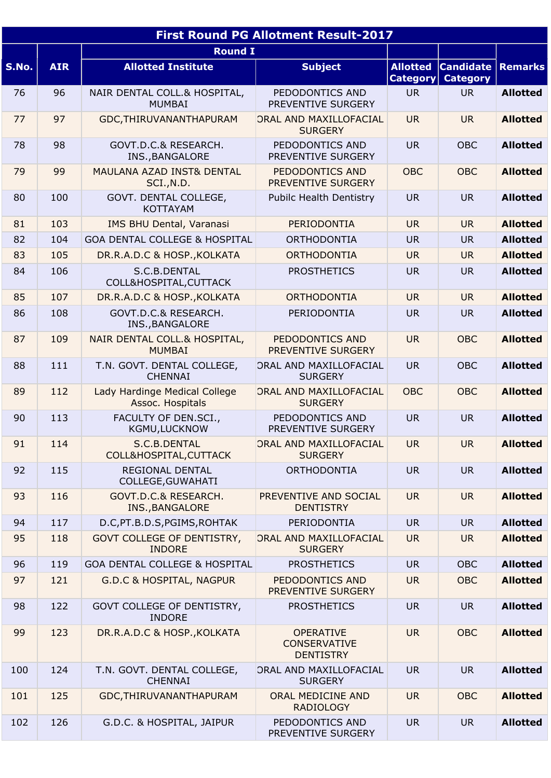|       | <b>First Round PG Allotment Result-2017</b> |                                                   |                                                             |                                    |                                             |                 |  |  |
|-------|---------------------------------------------|---------------------------------------------------|-------------------------------------------------------------|------------------------------------|---------------------------------------------|-----------------|--|--|
|       |                                             | <b>Round I</b>                                    |                                                             |                                    |                                             |                 |  |  |
| S.No. | <b>AIR</b>                                  | <b>Allotted Institute</b>                         | <b>Subject</b>                                              | <b>Allotted</b><br><b>Category</b> | <b>Candidate Remarks</b><br><b>Category</b> |                 |  |  |
| 76    | 96                                          | NAIR DENTAL COLL.& HOSPITAL,<br><b>MUMBAI</b>     | PEDODONTICS AND<br>PREVENTIVE SURGERY                       | <b>UR</b>                          | <b>UR</b>                                   | <b>Allotted</b> |  |  |
| 77    | 97                                          | GDC, THIRUVANANTHAPURAM                           | ORAL AND MAXILLOFACIAL<br><b>SURGERY</b>                    | <b>UR</b>                          | <b>UR</b>                                   | <b>Allotted</b> |  |  |
| 78    | 98                                          | GOVT.D.C.& RESEARCH.<br>INS., BANGALORE           | PEDODONTICS AND<br>PREVENTIVE SURGERY                       | <b>UR</b>                          | <b>OBC</b>                                  | <b>Allotted</b> |  |  |
| 79    | 99                                          | MAULANA AZAD INST& DENTAL<br>SCI., N.D.           | PEDODONTICS AND<br>PREVENTIVE SURGERY                       | <b>OBC</b>                         | <b>OBC</b>                                  | <b>Allotted</b> |  |  |
| 80    | 100                                         | GOVT. DENTAL COLLEGE,<br><b>KOTTAYAM</b>          | <b>Pubilc Health Dentistry</b>                              | <b>UR</b>                          | <b>UR</b>                                   | <b>Allotted</b> |  |  |
| 81    | 103                                         | IMS BHU Dental, Varanasi                          | PERIODONTIA                                                 | <b>UR</b>                          | <b>UR</b>                                   | <b>Allotted</b> |  |  |
| 82    | 104                                         | <b>GOA DENTAL COLLEGE &amp; HOSPITAL</b>          | <b>ORTHODONTIA</b>                                          | <b>UR</b>                          | <b>UR</b>                                   | <b>Allotted</b> |  |  |
| 83    | 105                                         | DR.R.A.D.C & HOSP., KOLKATA                       | <b>ORTHODONTIA</b>                                          | <b>UR</b>                          | <b>UR</b>                                   | <b>Allotted</b> |  |  |
| 84    | 106                                         | S.C.B.DENTAL<br>COLL&HOSPITAL, CUTTACK            | <b>PROSTHETICS</b>                                          | <b>UR</b>                          | <b>UR</b>                                   | <b>Allotted</b> |  |  |
| 85    | 107                                         | DR.R.A.D.C & HOSP., KOLKATA                       | <b>ORTHODONTIA</b>                                          | <b>UR</b>                          | <b>UR</b>                                   | <b>Allotted</b> |  |  |
| 86    | 108                                         | GOVT.D.C.& RESEARCH.<br>INS., BANGALORE           | PERIODONTIA                                                 | <b>UR</b>                          | <b>UR</b>                                   | <b>Allotted</b> |  |  |
| 87    | 109                                         | NAIR DENTAL COLL.& HOSPITAL,<br><b>MUMBAI</b>     | PEDODONTICS AND<br>PREVENTIVE SURGERY                       | <b>UR</b>                          | <b>OBC</b>                                  | <b>Allotted</b> |  |  |
| 88    | 111                                         | T.N. GOVT. DENTAL COLLEGE,<br><b>CHENNAI</b>      | ORAL AND MAXILLOFACIAL<br><b>SURGERY</b>                    | <b>UR</b>                          | <b>OBC</b>                                  | <b>Allotted</b> |  |  |
| 89    | 112                                         | Lady Hardinge Medical College<br>Assoc. Hospitals | ORAL AND MAXILLOFACIAL<br><b>SURGERY</b>                    | <b>OBC</b>                         | <b>OBC</b>                                  | <b>Allotted</b> |  |  |
| 90    | 113                                         | FACULTY OF DEN.SCI.,<br>KGMU, LUCKNOW             | PEDODONTICS AND<br>PREVENTIVE SURGERY                       | <b>UR</b>                          | <b>UR</b>                                   | <b>Allotted</b> |  |  |
| 91    | 114                                         | S.C.B.DENTAL<br>COLL&HOSPITAL, CUTTACK            | ORAL AND MAXILLOFACIAL<br><b>SURGERY</b>                    | <b>UR</b>                          | <b>UR</b>                                   | <b>Allotted</b> |  |  |
| 92    | 115                                         | REGIONAL DENTAL<br>COLLEGE, GUWAHATI              | <b>ORTHODONTIA</b>                                          | <b>UR</b>                          | <b>UR</b>                                   | <b>Allotted</b> |  |  |
| 93    | 116                                         | GOVT.D.C.& RESEARCH.<br>INS., BANGALORE           | PREVENTIVE AND SOCIAL<br><b>DENTISTRY</b>                   | <b>UR</b>                          | <b>UR</b>                                   | <b>Allotted</b> |  |  |
| 94    | 117                                         | D.C, PT.B.D.S, PGIMS, ROHTAK                      | PERIODONTIA                                                 | <b>UR</b>                          | <b>UR</b>                                   | <b>Allotted</b> |  |  |
| 95    | 118                                         | GOVT COLLEGE OF DENTISTRY,<br><b>INDORE</b>       | ORAL AND MAXILLOFACIAL<br><b>SURGERY</b>                    | <b>UR</b>                          | <b>UR</b>                                   | <b>Allotted</b> |  |  |
| 96    | 119                                         | <b>GOA DENTAL COLLEGE &amp; HOSPITAL</b>          | <b>PROSTHETICS</b>                                          | <b>UR</b>                          | <b>OBC</b>                                  | <b>Allotted</b> |  |  |
| 97    | 121                                         | G.D.C & HOSPITAL, NAGPUR                          | PEDODONTICS AND<br>PREVENTIVE SURGERY                       | <b>UR</b>                          | <b>OBC</b>                                  | <b>Allotted</b> |  |  |
| 98    | 122                                         | GOVT COLLEGE OF DENTISTRY,<br><b>INDORE</b>       | <b>PROSTHETICS</b>                                          | <b>UR</b>                          | <b>UR</b>                                   | <b>Allotted</b> |  |  |
| 99    | 123                                         | DR.R.A.D.C & HOSP., KOLKATA                       | <b>OPERATIVE</b><br><b>CONSERVATIVE</b><br><b>DENTISTRY</b> | <b>UR</b>                          | <b>OBC</b>                                  | <b>Allotted</b> |  |  |
| 100   | 124                                         | T.N. GOVT. DENTAL COLLEGE,<br><b>CHENNAI</b>      | ORAL AND MAXILLOFACIAL<br><b>SURGERY</b>                    | <b>UR</b>                          | <b>UR</b>                                   | <b>Allotted</b> |  |  |
| 101   | 125                                         | GDC, THIRUVANANTHAPURAM                           | ORAL MEDICINE AND<br><b>RADIOLOGY</b>                       | <b>UR</b>                          | <b>OBC</b>                                  | <b>Allotted</b> |  |  |
| 102   | 126                                         | G.D.C. & HOSPITAL, JAIPUR                         | PEDODONTICS AND<br>PREVENTIVE SURGERY                       | <b>UR</b>                          | <b>UR</b>                                   | <b>Allotted</b> |  |  |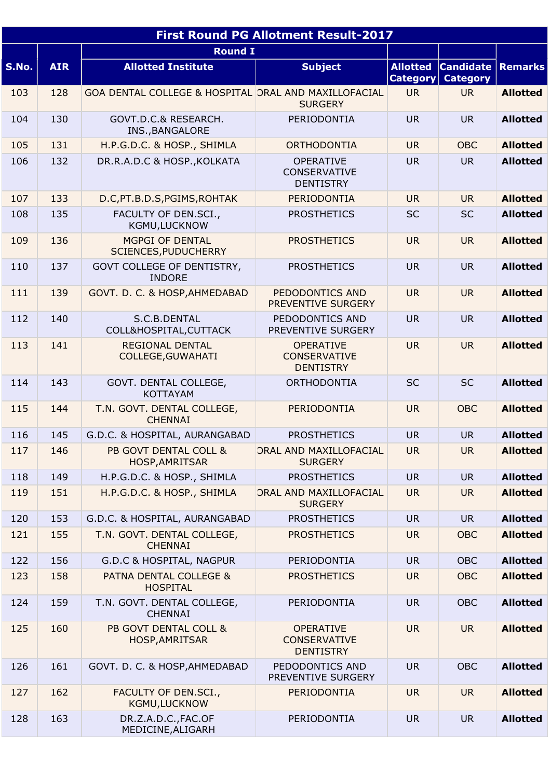| <b>First Round PG Allotment Result-2017</b> |            |                                                      |                                                             |                             |                                      |                 |  |  |
|---------------------------------------------|------------|------------------------------------------------------|-------------------------------------------------------------|-----------------------------|--------------------------------------|-----------------|--|--|
|                                             |            | <b>Round I</b>                                       |                                                             |                             |                                      |                 |  |  |
| S.No.                                       | <b>AIR</b> | <b>Allotted Institute</b>                            | <b>Subject</b>                                              | <b>Allotted</b><br>Category | $ $ Candidate $ $<br><b>Category</b> | <b>Remarks</b>  |  |  |
| 103                                         | 128        | GOA DENTAL COLLEGE & HOSPITAL ORAL AND MAXILLOFACIAL | <b>SURGERY</b>                                              | <b>UR</b>                   | <b>UR</b>                            | <b>Allotted</b> |  |  |
| 104                                         | 130        | GOVT.D.C.& RESEARCH.<br>INS., BANGALORE              | PERIODONTIA                                                 | <b>UR</b>                   | <b>UR</b>                            | <b>Allotted</b> |  |  |
| 105                                         | 131        | H.P.G.D.C. & HOSP., SHIMLA                           | <b>ORTHODONTIA</b>                                          | <b>UR</b>                   | <b>OBC</b>                           | <b>Allotted</b> |  |  |
| 106                                         | 132        | DR.R.A.D.C & HOSP., KOLKATA                          | <b>OPERATIVE</b><br>CONSERVATIVE<br><b>DENTISTRY</b>        | <b>UR</b>                   | <b>UR</b>                            | <b>Allotted</b> |  |  |
| 107                                         | 133        | D.C, PT.B.D.S, PGIMS, ROHTAK                         | PERIODONTIA                                                 | <b>UR</b>                   | <b>UR</b>                            | <b>Allotted</b> |  |  |
| 108                                         | 135        | FACULTY OF DEN.SCI.,<br>KGMU,LUCKNOW                 | <b>PROSTHETICS</b>                                          | <b>SC</b>                   | <b>SC</b>                            | <b>Allotted</b> |  |  |
| 109                                         | 136        | MGPGI OF DENTAL<br>SCIENCES, PUDUCHERRY              | <b>PROSTHETICS</b>                                          | <b>UR</b>                   | <b>UR</b>                            | <b>Allotted</b> |  |  |
| 110                                         | 137        | GOVT COLLEGE OF DENTISTRY,<br><b>INDORE</b>          | <b>PROSTHETICS</b>                                          | <b>UR</b>                   | <b>UR</b>                            | <b>Allotted</b> |  |  |
| 111                                         | 139        | GOVT. D. C. & HOSP, AHMEDABAD                        | PEDODONTICS AND<br>PREVENTIVE SURGERY                       | <b>UR</b>                   | <b>UR</b>                            | <b>Allotted</b> |  |  |
| 112                                         | 140        | S.C.B.DENTAL<br>COLL&HOSPITAL, CUTTACK               | PEDODONTICS AND<br>PREVENTIVE SURGERY                       | <b>UR</b>                   | <b>UR</b>                            | <b>Allotted</b> |  |  |
| 113                                         | 141        | <b>REGIONAL DENTAL</b><br>COLLEGE, GUWAHATI          | <b>OPERATIVE</b><br><b>CONSERVATIVE</b><br><b>DENTISTRY</b> | <b>UR</b>                   | <b>UR</b>                            | <b>Allotted</b> |  |  |
| 114                                         | 143        | GOVT. DENTAL COLLEGE,<br><b>KOTTAYAM</b>             | <b>ORTHODONTIA</b>                                          | <b>SC</b>                   | <b>SC</b>                            | <b>Allotted</b> |  |  |
| 115                                         | 144        | T.N. GOVT. DENTAL COLLEGE,<br><b>CHENNAI</b>         | PERIODONTIA                                                 | <b>UR</b>                   | <b>OBC</b>                           | <b>Allotted</b> |  |  |
| 116                                         | 145        | G.D.C. & HOSPITAL, AURANGABAD                        | <b>PROSTHETICS</b>                                          | <b>UR</b>                   | <b>UR</b>                            | <b>Allotted</b> |  |  |
| 117                                         | 146        | PB GOVT DENTAL COLL &<br>HOSP, AMRITSAR              | ORAL AND MAXILLOFACIAL<br><b>SURGERY</b>                    | <b>UR</b>                   | <b>UR</b>                            | <b>Allotted</b> |  |  |
| 118                                         | 149        | H.P.G.D.C. & HOSP., SHIMLA                           | <b>PROSTHETICS</b>                                          | <b>UR</b>                   | <b>UR</b>                            | <b>Allotted</b> |  |  |
| 119                                         | 151        | H.P.G.D.C. & HOSP., SHIMLA                           | ORAL AND MAXILLOFACIAL<br><b>SURGERY</b>                    | <b>UR</b>                   | <b>UR</b>                            | <b>Allotted</b> |  |  |
| 120                                         | 153        | G.D.C. & HOSPITAL, AURANGABAD                        | <b>PROSTHETICS</b>                                          | <b>UR</b>                   | <b>UR</b>                            | <b>Allotted</b> |  |  |
| 121                                         | 155        | T.N. GOVT. DENTAL COLLEGE,<br><b>CHENNAI</b>         | <b>PROSTHETICS</b>                                          | <b>UR</b>                   | <b>OBC</b>                           | <b>Allotted</b> |  |  |
| 122                                         | 156        | G.D.C & HOSPITAL, NAGPUR                             | PERIODONTIA                                                 | <b>UR</b>                   | <b>OBC</b>                           | <b>Allotted</b> |  |  |
| 123                                         | 158        | PATNA DENTAL COLLEGE &<br><b>HOSPITAL</b>            | <b>PROSTHETICS</b>                                          | <b>UR</b>                   | <b>OBC</b>                           | <b>Allotted</b> |  |  |
| 124                                         | 159        | T.N. GOVT. DENTAL COLLEGE,<br><b>CHENNAI</b>         | PERIODONTIA                                                 | <b>UR</b>                   | <b>OBC</b>                           | <b>Allotted</b> |  |  |
| 125                                         | 160        | PB GOVT DENTAL COLL &<br>HOSP, AMRITSAR              | <b>OPERATIVE</b><br><b>CONSERVATIVE</b><br><b>DENTISTRY</b> | <b>UR</b>                   | <b>UR</b>                            | <b>Allotted</b> |  |  |
| 126                                         | 161        | GOVT. D. C. & HOSP, AHMEDABAD                        | PEDODONTICS AND<br>PREVENTIVE SURGERY                       | <b>UR</b>                   | <b>OBC</b>                           | <b>Allotted</b> |  |  |
| 127                                         | 162        | FACULTY OF DEN.SCI.,<br>KGMU,LUCKNOW                 | PERIODONTIA                                                 | <b>UR</b>                   | <b>UR</b>                            | <b>Allotted</b> |  |  |
| 128                                         | 163        | DR.Z.A.D.C., FAC.OF<br>MEDICINE, ALIGARH             | PERIODONTIA                                                 | <b>UR</b>                   | <b>UR</b>                            | <b>Allotted</b> |  |  |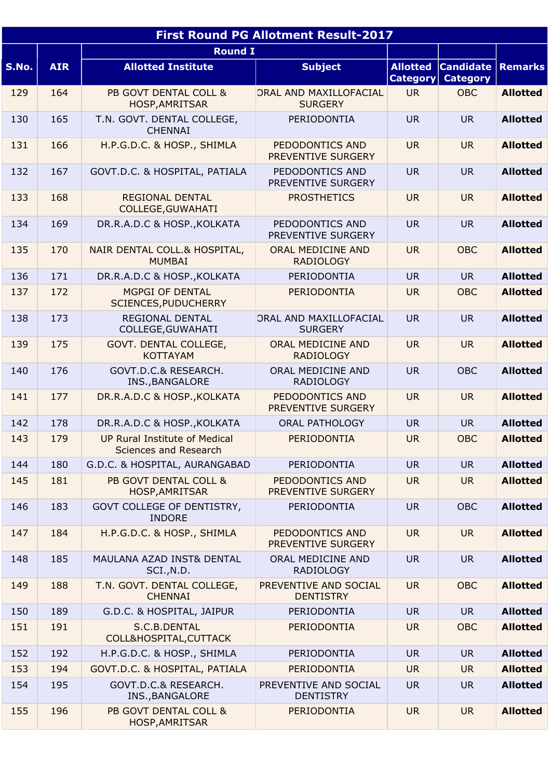| <b>First Round PG Allotment Result-2017</b> |            |                                                               |                                           |                             |                                             |                 |  |
|---------------------------------------------|------------|---------------------------------------------------------------|-------------------------------------------|-----------------------------|---------------------------------------------|-----------------|--|
|                                             |            | <b>Round I</b>                                                |                                           |                             |                                             |                 |  |
| S.No.                                       | <b>AIR</b> | <b>Allotted Institute</b>                                     | <b>Subject</b>                            | <b>Allotted</b><br>Category | <b>Candidate Remarks</b><br><b>Category</b> |                 |  |
| 129                                         | 164        | PB GOVT DENTAL COLL &<br>HOSP, AMRITSAR                       | ORAL AND MAXILLOFACIAL<br><b>SURGERY</b>  | <b>UR</b>                   | <b>OBC</b>                                  | <b>Allotted</b> |  |
| 130                                         | 165        | T.N. GOVT. DENTAL COLLEGE,<br><b>CHENNAI</b>                  | PERIODONTIA                               | <b>UR</b>                   | <b>UR</b>                                   | <b>Allotted</b> |  |
| 131                                         | 166        | H.P.G.D.C. & HOSP., SHIMLA                                    | PEDODONTICS AND<br>PREVENTIVE SURGERY     | <b>UR</b>                   | <b>UR</b>                                   | <b>Allotted</b> |  |
| 132                                         | 167        | GOVT.D.C. & HOSPITAL, PATIALA                                 | PEDODONTICS AND<br>PREVENTIVE SURGERY     | <b>UR</b>                   | <b>UR</b>                                   | <b>Allotted</b> |  |
| 133                                         | 168        | REGIONAL DENTAL<br><b>COLLEGE, GUWAHATI</b>                   | <b>PROSTHETICS</b>                        | <b>UR</b>                   | <b>UR</b>                                   | <b>Allotted</b> |  |
| 134                                         | 169        | DR.R.A.D.C & HOSP., KOLKATA                                   | PEDODONTICS AND<br>PREVENTIVE SURGERY     | <b>UR</b>                   | <b>UR</b>                                   | <b>Allotted</b> |  |
| 135                                         | 170        | NAIR DENTAL COLL.& HOSPITAL,<br><b>MUMBAI</b>                 | ORAL MEDICINE AND<br><b>RADIOLOGY</b>     | <b>UR</b>                   | <b>OBC</b>                                  | <b>Allotted</b> |  |
| 136                                         | 171        | DR.R.A.D.C & HOSP., KOLKATA                                   | PERIODONTIA                               | <b>UR</b>                   | <b>UR</b>                                   | <b>Allotted</b> |  |
| 137                                         | 172        | MGPGI OF DENTAL<br><b>SCIENCES, PUDUCHERRY</b>                | <b>PERIODONTIA</b>                        | <b>UR</b>                   | <b>OBC</b>                                  | <b>Allotted</b> |  |
| 138                                         | 173        | REGIONAL DENTAL<br>COLLEGE, GUWAHATI                          | ORAL AND MAXILLOFACIAL<br><b>SURGERY</b>  | <b>UR</b>                   | <b>UR</b>                                   | <b>Allotted</b> |  |
| 139                                         | 175        | GOVT. DENTAL COLLEGE,<br><b>KOTTAYAM</b>                      | ORAL MEDICINE AND<br><b>RADIOLOGY</b>     | <b>UR</b>                   | <b>UR</b>                                   | <b>Allotted</b> |  |
| 140                                         | 176        | GOVT.D.C.& RESEARCH.<br>INS., BANGALORE                       | ORAL MEDICINE AND<br><b>RADIOLOGY</b>     | <b>UR</b>                   | <b>OBC</b>                                  | <b>Allotted</b> |  |
| 141                                         | 177        | DR.R.A.D.C & HOSP., KOLKATA                                   | PEDODONTICS AND<br>PREVENTIVE SURGERY     | <b>UR</b>                   | <b>UR</b>                                   | <b>Allotted</b> |  |
| 142                                         | 178        | DR.R.A.D.C & HOSP., KOLKATA                                   | <b>ORAL PATHOLOGY</b>                     | <b>UR</b>                   | <b>UR</b>                                   | <b>Allotted</b> |  |
| 143                                         | 179        | UP Rural Institute of Medical<br><b>Sciences and Research</b> | PERIODONTIA                               | <b>UR</b>                   | <b>OBC</b>                                  | <b>Allotted</b> |  |
| 144                                         | 180        | G.D.C. & HOSPITAL, AURANGABAD                                 | PERIODONTIA                               | <b>UR</b>                   | <b>UR</b>                                   | <b>Allotted</b> |  |
| 145                                         | 181        | PB GOVT DENTAL COLL &<br><b>HOSP, AMRITSAR</b>                | PEDODONTICS AND<br>PREVENTIVE SURGERY     | <b>UR</b>                   | <b>UR</b>                                   | <b>Allotted</b> |  |
| 146                                         | 183        | GOVT COLLEGE OF DENTISTRY,<br><b>INDORE</b>                   | PERIODONTIA                               | <b>UR</b>                   | <b>OBC</b>                                  | <b>Allotted</b> |  |
| 147                                         | 184        | H.P.G.D.C. & HOSP., SHIMLA                                    | PEDODONTICS AND<br>PREVENTIVE SURGERY     | <b>UR</b>                   | <b>UR</b>                                   | <b>Allotted</b> |  |
| 148                                         | 185        | MAULANA AZAD INST& DENTAL<br>SCI., N.D.                       | ORAL MEDICINE AND<br><b>RADIOLOGY</b>     | <b>UR</b>                   | <b>UR</b>                                   | <b>Allotted</b> |  |
| 149                                         | 188        | T.N. GOVT. DENTAL COLLEGE,<br><b>CHENNAI</b>                  | PREVENTIVE AND SOCIAL<br><b>DENTISTRY</b> | <b>UR</b>                   | <b>OBC</b>                                  | <b>Allotted</b> |  |
| 150                                         | 189        | G.D.C. & HOSPITAL, JAIPUR                                     | PERIODONTIA                               | <b>UR</b>                   | <b>UR</b>                                   | <b>Allotted</b> |  |
| 151                                         | 191        | S.C.B.DENTAL<br>COLL&HOSPITAL, CUTTACK                        | PERIODONTIA                               | <b>UR</b>                   | <b>OBC</b>                                  | <b>Allotted</b> |  |
| 152                                         | 192        | H.P.G.D.C. & HOSP., SHIMLA                                    | PERIODONTIA                               | <b>UR</b>                   | <b>UR</b>                                   | <b>Allotted</b> |  |
| 153                                         | 194        | GOVT.D.C. & HOSPITAL, PATIALA                                 | PERIODONTIA                               | <b>UR</b>                   | <b>UR</b>                                   | <b>Allotted</b> |  |
| 154                                         | 195        | GOVT.D.C.& RESEARCH.<br>INS., BANGALORE                       | PREVENTIVE AND SOCIAL<br><b>DENTISTRY</b> | <b>UR</b>                   | <b>UR</b>                                   | <b>Allotted</b> |  |
| 155                                         | 196        | PB GOVT DENTAL COLL &<br>HOSP, AMRITSAR                       | PERIODONTIA                               | <b>UR</b>                   | <b>UR</b>                                   | <b>Allotted</b> |  |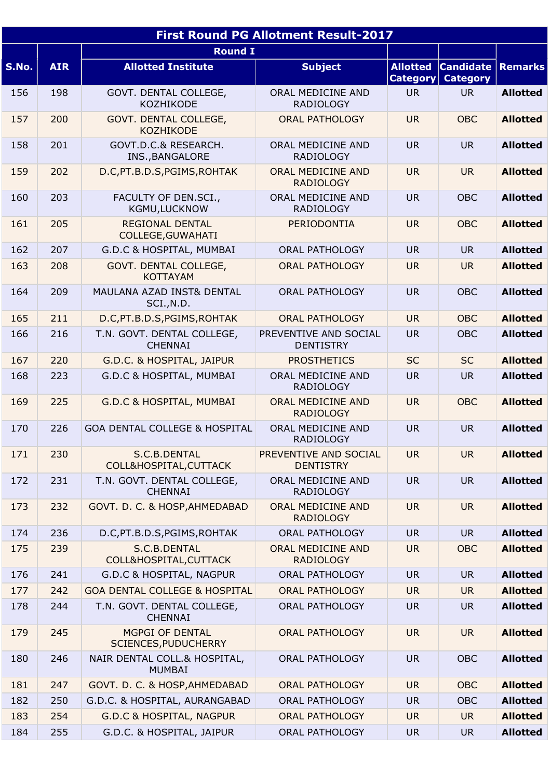|       | <b>First Round PG Allotment Result-2017</b> |                                               |                                           |                             |                                               |                 |  |  |
|-------|---------------------------------------------|-----------------------------------------------|-------------------------------------------|-----------------------------|-----------------------------------------------|-----------------|--|--|
|       |                                             | <b>Round I</b>                                |                                           |                             |                                               |                 |  |  |
| S.No. | <b>AIR</b>                                  | <b>Allotted Institute</b>                     | <b>Subject</b>                            | <b>Allotted</b><br>Category | <b>Candidate   Remarks</b><br><b>Category</b> |                 |  |  |
| 156   | 198                                         | GOVT. DENTAL COLLEGE,<br>KOZHIKODE            | ORAL MEDICINE AND<br><b>RADIOLOGY</b>     | <b>UR</b>                   | <b>UR</b>                                     | <b>Allotted</b> |  |  |
| 157   | 200                                         | GOVT. DENTAL COLLEGE,<br><b>KOZHIKODE</b>     | <b>ORAL PATHOLOGY</b>                     | <b>UR</b>                   | <b>OBC</b>                                    | <b>Allotted</b> |  |  |
| 158   | 201                                         | GOVT.D.C.& RESEARCH.<br>INS., BANGALORE       | ORAL MEDICINE AND<br><b>RADIOLOGY</b>     | <b>UR</b>                   | <b>UR</b>                                     | <b>Allotted</b> |  |  |
| 159   | 202                                         | D.C, PT.B.D.S, PGIMS, ROHTAK                  | ORAL MEDICINE AND<br><b>RADIOLOGY</b>     | <b>UR</b>                   | <b>UR</b>                                     | <b>Allotted</b> |  |  |
| 160   | 203                                         | FACULTY OF DEN.SCI.,<br>KGMU,LUCKNOW          | ORAL MEDICINE AND<br><b>RADIOLOGY</b>     | <b>UR</b>                   | <b>OBC</b>                                    | <b>Allotted</b> |  |  |
| 161   | 205                                         | <b>REGIONAL DENTAL</b><br>COLLEGE, GUWAHATI   | PERIODONTIA                               | <b>UR</b>                   | <b>OBC</b>                                    | <b>Allotted</b> |  |  |
| 162   | 207                                         | G.D.C & HOSPITAL, MUMBAI                      | <b>ORAL PATHOLOGY</b>                     | <b>UR</b>                   | <b>UR</b>                                     | <b>Allotted</b> |  |  |
| 163   | 208                                         | GOVT. DENTAL COLLEGE,<br><b>KOTTAYAM</b>      | <b>ORAL PATHOLOGY</b>                     | <b>UR</b>                   | <b>UR</b>                                     | <b>Allotted</b> |  |  |
| 164   | 209                                         | MAULANA AZAD INST& DENTAL<br>SCI., N.D.       | <b>ORAL PATHOLOGY</b>                     | <b>UR</b>                   | <b>OBC</b>                                    | <b>Allotted</b> |  |  |
| 165   | 211                                         | D.C, PT.B.D.S, PGIMS, ROHTAK                  | <b>ORAL PATHOLOGY</b>                     | <b>UR</b>                   | <b>OBC</b>                                    | <b>Allotted</b> |  |  |
| 166   | 216                                         | T.N. GOVT. DENTAL COLLEGE,<br><b>CHENNAI</b>  | PREVENTIVE AND SOCIAL<br><b>DENTISTRY</b> | <b>UR</b>                   | <b>OBC</b>                                    | <b>Allotted</b> |  |  |
| 167   | 220                                         | G.D.C. & HOSPITAL, JAIPUR                     | <b>PROSTHETICS</b>                        | <b>SC</b>                   | <b>SC</b>                                     | <b>Allotted</b> |  |  |
| 168   | 223                                         | G.D.C & HOSPITAL, MUMBAI                      | ORAL MEDICINE AND<br><b>RADIOLOGY</b>     | <b>UR</b>                   | <b>UR</b>                                     | <b>Allotted</b> |  |  |
| 169   | 225                                         | G.D.C & HOSPITAL, MUMBAI                      | ORAL MEDICINE AND<br><b>RADIOLOGY</b>     | <b>UR</b>                   | <b>OBC</b>                                    | <b>Allotted</b> |  |  |
| 170   | 226                                         | <b>GOA DENTAL COLLEGE &amp; HOSPITAL</b>      | ORAL MEDICINE AND<br><b>RADIOLOGY</b>     | <b>UR</b>                   | <b>UR</b>                                     | <b>Allotted</b> |  |  |
| 171   | 230                                         | S.C.B.DENTAL<br>COLL&HOSPITAL, CUTTACK        | PREVENTIVE AND SOCIAL<br><b>DENTISTRY</b> | <b>UR</b>                   | <b>UR</b>                                     | <b>Allotted</b> |  |  |
| 172   | 231                                         | T.N. GOVT. DENTAL COLLEGE,<br><b>CHENNAI</b>  | ORAL MEDICINE AND<br><b>RADIOLOGY</b>     | <b>UR</b>                   | <b>UR</b>                                     | <b>Allotted</b> |  |  |
| 173   | 232                                         | GOVT. D. C. & HOSP, AHMEDABAD                 | ORAL MEDICINE AND<br><b>RADIOLOGY</b>     | <b>UR</b>                   | <b>UR</b>                                     | <b>Allotted</b> |  |  |
| 174   | 236                                         | D.C, PT.B.D.S, PGIMS, ROHTAK                  | <b>ORAL PATHOLOGY</b>                     | <b>UR</b>                   | <b>UR</b>                                     | <b>Allotted</b> |  |  |
| 175   | 239                                         | S.C.B.DENTAL<br>COLL&HOSPITAL, CUTTACK        | ORAL MEDICINE AND<br><b>RADIOLOGY</b>     | <b>UR</b>                   | <b>OBC</b>                                    | <b>Allotted</b> |  |  |
| 176   | 241                                         | <b>G.D.C &amp; HOSPITAL, NAGPUR</b>           | <b>ORAL PATHOLOGY</b>                     | <b>UR</b>                   | <b>UR</b>                                     | <b>Allotted</b> |  |  |
| 177   | 242                                         | <b>GOA DENTAL COLLEGE &amp; HOSPITAL</b>      | <b>ORAL PATHOLOGY</b>                     | <b>UR</b>                   | <b>UR</b>                                     | <b>Allotted</b> |  |  |
| 178   | 244                                         | T.N. GOVT. DENTAL COLLEGE,<br><b>CHENNAI</b>  | <b>ORAL PATHOLOGY</b>                     | <b>UR</b>                   | <b>UR</b>                                     | <b>Allotted</b> |  |  |
| 179   | 245                                         | MGPGI OF DENTAL<br>SCIENCES, PUDUCHERRY       | <b>ORAL PATHOLOGY</b>                     | <b>UR</b>                   | <b>UR</b>                                     | <b>Allotted</b> |  |  |
| 180   | 246                                         | NAIR DENTAL COLL.& HOSPITAL,<br><b>MUMBAI</b> | <b>ORAL PATHOLOGY</b>                     | <b>UR</b>                   | <b>OBC</b>                                    | <b>Allotted</b> |  |  |
| 181   | 247                                         | GOVT. D. C. & HOSP, AHMEDABAD                 | <b>ORAL PATHOLOGY</b>                     | <b>UR</b>                   | <b>OBC</b>                                    | <b>Allotted</b> |  |  |
| 182   | 250                                         | G.D.C. & HOSPITAL, AURANGABAD                 | <b>ORAL PATHOLOGY</b>                     | <b>UR</b>                   | <b>OBC</b>                                    | <b>Allotted</b> |  |  |
| 183   | 254                                         | G.D.C & HOSPITAL, NAGPUR                      | <b>ORAL PATHOLOGY</b>                     | <b>UR</b>                   | <b>UR</b>                                     | <b>Allotted</b> |  |  |
| 184   | 255                                         | G.D.C. & HOSPITAL, JAIPUR                     | <b>ORAL PATHOLOGY</b>                     | <b>UR</b>                   | <b>UR</b>                                     | <b>Allotted</b> |  |  |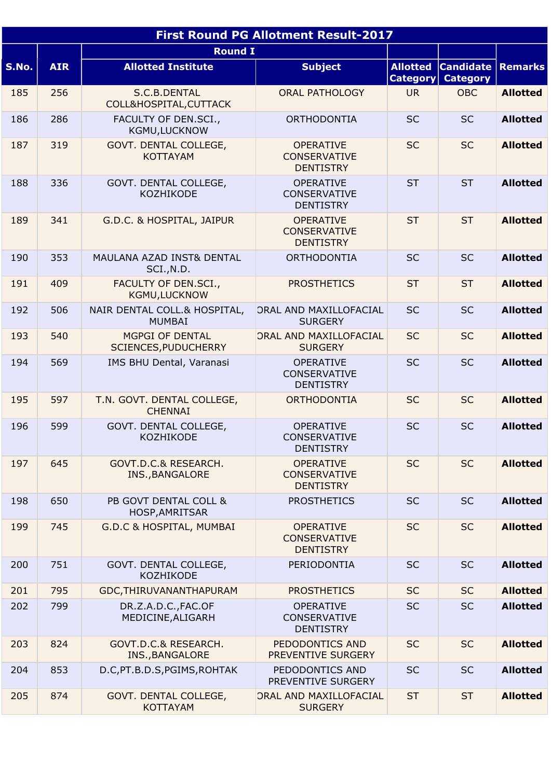|       | <b>First Round PG Allotment Result-2017</b> |                                               |                                                             |                                    |                                               |                 |  |  |  |
|-------|---------------------------------------------|-----------------------------------------------|-------------------------------------------------------------|------------------------------------|-----------------------------------------------|-----------------|--|--|--|
|       |                                             | <b>Round I</b>                                |                                                             |                                    |                                               |                 |  |  |  |
| S.No. | <b>AIR</b>                                  | <b>Allotted Institute</b>                     | <b>Subject</b>                                              | <b>Allotted</b><br><b>Category</b> | <b>Candidate   Remarks</b><br><b>Category</b> |                 |  |  |  |
| 185   | 256                                         | S.C.B.DENTAL<br>COLL&HOSPITAL, CUTTACK        | <b>ORAL PATHOLOGY</b>                                       | <b>UR</b>                          | <b>OBC</b>                                    | <b>Allotted</b> |  |  |  |
| 186   | 286                                         | FACULTY OF DEN.SCI.,<br>KGMU,LUCKNOW          | <b>ORTHODONTIA</b>                                          | <b>SC</b>                          | <b>SC</b>                                     | <b>Allotted</b> |  |  |  |
| 187   | 319                                         | GOVT. DENTAL COLLEGE,<br><b>KOTTAYAM</b>      | <b>OPERATIVE</b><br><b>CONSERVATIVE</b><br><b>DENTISTRY</b> | <b>SC</b>                          | <b>SC</b>                                     | <b>Allotted</b> |  |  |  |
| 188   | 336                                         | GOVT. DENTAL COLLEGE,<br>KOZHIKODE            | <b>OPERATIVE</b><br>CONSERVATIVE<br><b>DENTISTRY</b>        | <b>ST</b>                          | <b>ST</b>                                     | <b>Allotted</b> |  |  |  |
| 189   | 341                                         | G.D.C. & HOSPITAL, JAIPUR                     | <b>OPERATIVE</b><br><b>CONSERVATIVE</b><br><b>DENTISTRY</b> | <b>ST</b>                          | <b>ST</b>                                     | <b>Allotted</b> |  |  |  |
| 190   | 353                                         | MAULANA AZAD INST& DENTAL<br>SCI., N.D.       | <b>ORTHODONTIA</b>                                          | <b>SC</b>                          | <b>SC</b>                                     | <b>Allotted</b> |  |  |  |
| 191   | 409                                         | FACULTY OF DEN.SCI.,<br><b>KGMU,LUCKNOW</b>   | <b>PROSTHETICS</b>                                          | <b>ST</b>                          | <b>ST</b>                                     | <b>Allotted</b> |  |  |  |
| 192   | 506                                         | NAIR DENTAL COLL.& HOSPITAL,<br><b>MUMBAI</b> | ORAL AND MAXILLOFACIAL<br><b>SURGERY</b>                    | <b>SC</b>                          | <b>SC</b>                                     | <b>Allotted</b> |  |  |  |
| 193   | 540                                         | MGPGI OF DENTAL<br>SCIENCES, PUDUCHERRY       | ORAL AND MAXILLOFACIAL<br><b>SURGERY</b>                    | <b>SC</b>                          | <b>SC</b>                                     | <b>Allotted</b> |  |  |  |
| 194   | 569                                         | IMS BHU Dental, Varanasi                      | <b>OPERATIVE</b><br>CONSERVATIVE<br><b>DENTISTRY</b>        | <b>SC</b>                          | <b>SC</b>                                     | <b>Allotted</b> |  |  |  |
| 195   | 597                                         | T.N. GOVT. DENTAL COLLEGE,<br><b>CHENNAI</b>  | <b>ORTHODONTIA</b>                                          | <b>SC</b>                          | <b>SC</b>                                     | <b>Allotted</b> |  |  |  |
| 196   | 599                                         | GOVT. DENTAL COLLEGE,<br>KOZHIKODE            | <b>OPERATIVE</b><br><b>CONSERVATIVE</b><br><b>DENTISTRY</b> | <b>SC</b>                          | <b>SC</b>                                     | <b>Allotted</b> |  |  |  |
| 197   | 645                                         | GOVT.D.C.& RESEARCH.<br>INS., BANGALORE       | <b>OPERATIVE</b><br><b>CONSERVATIVE</b><br><b>DENTISTRY</b> | <b>SC</b>                          | <b>SC</b>                                     | <b>Allotted</b> |  |  |  |
| 198   | 650                                         | PB GOVT DENTAL COLL &<br>HOSP, AMRITSAR       | <b>PROSTHETICS</b>                                          | <b>SC</b>                          | <b>SC</b>                                     | <b>Allotted</b> |  |  |  |
| 199   | 745                                         | <b>G.D.C &amp; HOSPITAL, MUMBAI</b>           | <b>OPERATIVE</b><br><b>CONSERVATIVE</b><br><b>DENTISTRY</b> | <b>SC</b>                          | <b>SC</b>                                     | <b>Allotted</b> |  |  |  |
| 200   | 751                                         | GOVT. DENTAL COLLEGE,<br><b>KOZHIKODE</b>     | PERIODONTIA                                                 | <b>SC</b>                          | <b>SC</b>                                     | <b>Allotted</b> |  |  |  |
| 201   | 795                                         | GDC, THIRUVANANTHAPURAM                       | <b>PROSTHETICS</b>                                          | <b>SC</b>                          | <b>SC</b>                                     | <b>Allotted</b> |  |  |  |
| 202   | 799                                         | DR.Z.A.D.C., FAC.OF<br>MEDICINE, ALIGARH      | <b>OPERATIVE</b><br><b>CONSERVATIVE</b><br><b>DENTISTRY</b> | <b>SC</b>                          | <b>SC</b>                                     | <b>Allotted</b> |  |  |  |
| 203   | 824                                         | GOVT.D.C.& RESEARCH.<br>INS., BANGALORE       | PEDODONTICS AND<br>PREVENTIVE SURGERY                       | <b>SC</b>                          | <b>SC</b>                                     | <b>Allotted</b> |  |  |  |
| 204   | 853                                         | D.C, PT.B.D.S, PGIMS, ROHTAK                  | PEDODONTICS AND<br>PREVENTIVE SURGERY                       | <b>SC</b>                          | <b>SC</b>                                     | <b>Allotted</b> |  |  |  |
| 205   | 874                                         | GOVT. DENTAL COLLEGE,<br><b>KOTTAYAM</b>      | ORAL AND MAXILLOFACIAL<br><b>SURGERY</b>                    | <b>ST</b>                          | <b>ST</b>                                     | <b>Allotted</b> |  |  |  |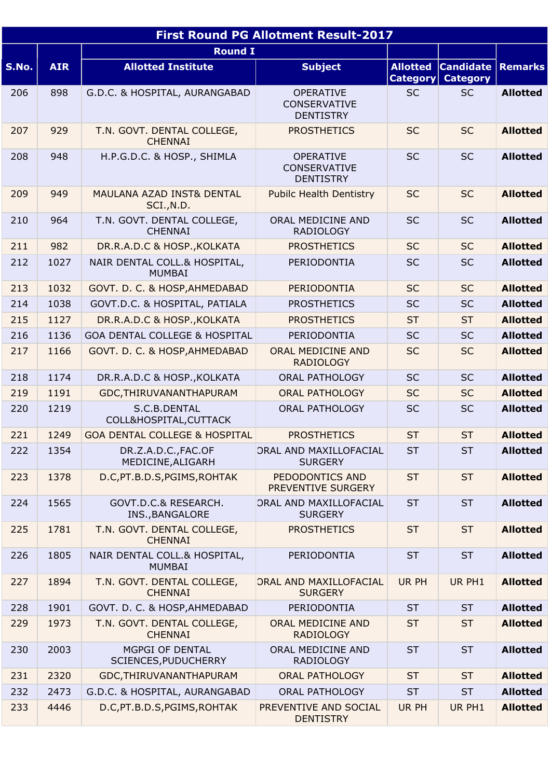|       | <b>First Round PG Allotment Result-2017</b> |                                               |                                                             |                                    |                                               |                 |  |  |
|-------|---------------------------------------------|-----------------------------------------------|-------------------------------------------------------------|------------------------------------|-----------------------------------------------|-----------------|--|--|
|       |                                             | <b>Round I</b>                                |                                                             |                                    |                                               |                 |  |  |
| S.No. | <b>AIR</b>                                  | <b>Allotted Institute</b>                     | <b>Subject</b>                                              | <b>Allotted</b><br><b>Category</b> | <b>Candidate   Remarks</b><br><b>Category</b> |                 |  |  |
| 206   | 898                                         | G.D.C. & HOSPITAL, AURANGABAD                 | <b>OPERATIVE</b><br>CONSERVATIVE<br><b>DENTISTRY</b>        | <b>SC</b>                          | <b>SC</b>                                     | <b>Allotted</b> |  |  |
| 207   | 929                                         | T.N. GOVT. DENTAL COLLEGE,<br><b>CHENNAI</b>  | <b>PROSTHETICS</b>                                          | <b>SC</b>                          | <b>SC</b>                                     | <b>Allotted</b> |  |  |
| 208   | 948                                         | H.P.G.D.C. & HOSP., SHIMLA                    | <b>OPERATIVE</b><br><b>CONSERVATIVE</b><br><b>DENTISTRY</b> | <b>SC</b>                          | <b>SC</b>                                     | <b>Allotted</b> |  |  |
| 209   | 949                                         | MAULANA AZAD INST& DENTAL<br>SCI., N.D.       | <b>Pubilc Health Dentistry</b>                              | <b>SC</b>                          | <b>SC</b>                                     | <b>Allotted</b> |  |  |
| 210   | 964                                         | T.N. GOVT. DENTAL COLLEGE,<br><b>CHENNAI</b>  | ORAL MEDICINE AND<br><b>RADIOLOGY</b>                       | <b>SC</b>                          | <b>SC</b>                                     | <b>Allotted</b> |  |  |
| 211   | 982                                         | DR.R.A.D.C & HOSP., KOLKATA                   | <b>PROSTHETICS</b>                                          | <b>SC</b>                          | <b>SC</b>                                     | <b>Allotted</b> |  |  |
| 212   | 1027                                        | NAIR DENTAL COLL.& HOSPITAL,<br><b>MUMBAI</b> | PERIODONTIA                                                 | <b>SC</b>                          | <b>SC</b>                                     | <b>Allotted</b> |  |  |
| 213   | 1032                                        | GOVT. D. C. & HOSP, AHMEDABAD                 | PERIODONTIA                                                 | <b>SC</b>                          | <b>SC</b>                                     | <b>Allotted</b> |  |  |
| 214   | 1038                                        | GOVT.D.C. & HOSPITAL, PATIALA                 | <b>PROSTHETICS</b>                                          | <b>SC</b>                          | <b>SC</b>                                     | <b>Allotted</b> |  |  |
| 215   | 1127                                        | DR.R.A.D.C & HOSP., KOLKATA                   | <b>PROSTHETICS</b>                                          | <b>ST</b>                          | <b>ST</b>                                     | <b>Allotted</b> |  |  |
| 216   | 1136                                        | <b>GOA DENTAL COLLEGE &amp; HOSPITAL</b>      | PERIODONTIA                                                 | <b>SC</b>                          | <b>SC</b>                                     | <b>Allotted</b> |  |  |
| 217   | 1166                                        | GOVT. D. C. & HOSP, AHMEDABAD                 | ORAL MEDICINE AND<br><b>RADIOLOGY</b>                       | <b>SC</b>                          | <b>SC</b>                                     | <b>Allotted</b> |  |  |
| 218   | 1174                                        | DR.R.A.D.C & HOSP., KOLKATA                   | <b>ORAL PATHOLOGY</b>                                       | <b>SC</b>                          | <b>SC</b>                                     | <b>Allotted</b> |  |  |
| 219   | 1191                                        | GDC, THIRUVANANTHAPURAM                       | <b>ORAL PATHOLOGY</b>                                       | <b>SC</b>                          | <b>SC</b>                                     | <b>Allotted</b> |  |  |
| 220   | 1219                                        | S.C.B.DENTAL<br>COLL&HOSPITAL, CUTTACK        | <b>ORAL PATHOLOGY</b>                                       | <b>SC</b>                          | <b>SC</b>                                     | <b>Allotted</b> |  |  |
| 221   | 1249                                        | <b>GOA DENTAL COLLEGE &amp; HOSPITAL</b>      | <b>PROSTHETICS</b>                                          | <b>ST</b>                          | <b>ST</b>                                     | <b>Allotted</b> |  |  |
| 222   | 1354                                        | DR.Z.A.D.C., FAC.OF<br>MEDICINE, ALIGARH      | ORAL AND MAXILLOFACIAL<br><b>SURGERY</b>                    | <b>ST</b>                          | <b>ST</b>                                     | <b>Allotted</b> |  |  |
| 223   | 1378                                        | D.C, PT.B.D.S, PGIMS, ROHTAK                  | PEDODONTICS AND<br>PREVENTIVE SURGERY                       | <b>ST</b>                          | <b>ST</b>                                     | <b>Allotted</b> |  |  |
| 224   | 1565                                        | GOVT.D.C.& RESEARCH.<br>INS., BANGALORE       | ORAL AND MAXILLOFACIAL<br><b>SURGERY</b>                    | <b>ST</b>                          | <b>ST</b>                                     | <b>Allotted</b> |  |  |
| 225   | 1781                                        | T.N. GOVT. DENTAL COLLEGE,<br><b>CHENNAI</b>  | <b>PROSTHETICS</b>                                          | <b>ST</b>                          | <b>ST</b>                                     | <b>Allotted</b> |  |  |
| 226   | 1805                                        | NAIR DENTAL COLL.& HOSPITAL,<br><b>MUMBAI</b> | PERIODONTIA                                                 | <b>ST</b>                          | <b>ST</b>                                     | <b>Allotted</b> |  |  |
| 227   | 1894                                        | T.N. GOVT. DENTAL COLLEGE,<br><b>CHENNAI</b>  | ORAL AND MAXILLOFACIAL<br><b>SURGERY</b>                    | <b>UR PH</b>                       | UR PH1                                        | <b>Allotted</b> |  |  |
| 228   | 1901                                        | GOVT. D. C. & HOSP, AHMEDABAD                 | PERIODONTIA                                                 | <b>ST</b>                          | <b>ST</b>                                     | <b>Allotted</b> |  |  |
| 229   | 1973                                        | T.N. GOVT. DENTAL COLLEGE,<br><b>CHENNAI</b>  | ORAL MEDICINE AND<br><b>RADIOLOGY</b>                       | <b>ST</b>                          | <b>ST</b>                                     | <b>Allotted</b> |  |  |
| 230   | 2003                                        | MGPGI OF DENTAL<br>SCIENCES, PUDUCHERRY       | ORAL MEDICINE AND<br><b>RADIOLOGY</b>                       | <b>ST</b>                          | <b>ST</b>                                     | <b>Allotted</b> |  |  |
| 231   | 2320                                        | GDC, THIRUVANANTHAPURAM                       | <b>ORAL PATHOLOGY</b>                                       | <b>ST</b>                          | <b>ST</b>                                     | <b>Allotted</b> |  |  |
| 232   | 2473                                        | G.D.C. & HOSPITAL, AURANGABAD                 | <b>ORAL PATHOLOGY</b>                                       | <b>ST</b>                          | <b>ST</b>                                     | <b>Allotted</b> |  |  |
| 233   | 4446                                        | D.C, PT.B.D.S, PGIMS, ROHTAK                  | PREVENTIVE AND SOCIAL<br><b>DENTISTRY</b>                   | UR PH                              | UR PH1                                        | <b>Allotted</b> |  |  |